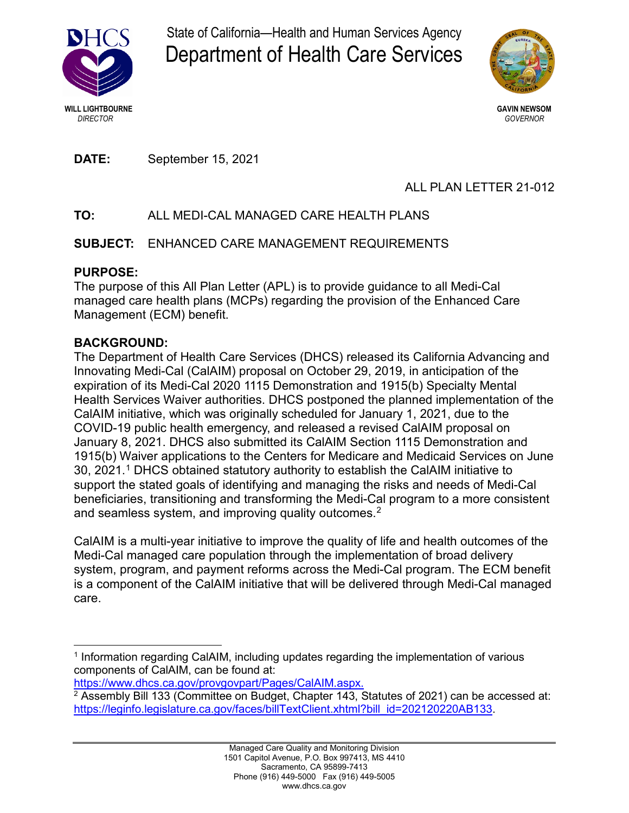

State of California—Health and Human Services Agency Department of Health Care Services



**DATE:** September 15, 2021

# ALL PLAN LETTER 21-012

# **TO:** ALL MEDI-CAL MANAGED CARE HEALTH PLANS

# **SUBJECT:** ENHANCED CARE MANAGEMENT REQUIREMENTS

## **PURPOSE:**

The purpose of this All Plan Letter (APL) is to provide guidance to all Medi-Cal managed care health plans (MCPs) regarding the provision of the Enhanced Care Management (ECM) benefit.

## **BACKGROUND:**

The Department of Health Care Services (DHCS) released its California Advancing and Innovating Medi-Cal (CalAIM) proposal on October 29, 2019, in anticipation of the expiration of its Medi-Cal 2020 1115 Demonstration and 1915(b) Specialty Mental Health Services Waiver authorities. DHCS postponed the planned implementation of the CalAIM initiative, which was originally scheduled for January 1, 2021, due to the COVID-19 public health emergency, and released a revised CalAIM proposal on January 8, 2021. DHCS also submitted its CalAIM Section 1115 Demonstration and 1915(b) Waiver applications to the Centers for Medicare and Medicaid Services on June 30, 2021.1 DHCS obtained statutory authority to establish the CalAIM initiative to support the stated goals of identifying and managing the risks and needs of Medi-Cal beneficiaries, transitioning and transforming the Medi-Cal program to a more consistent and seamless system, and improving quality outcomes.<sup>2</sup>

CalAIM is a multi-year initiative to improve the quality of life and health outcomes of the Medi-Cal managed care population through the implementation of broad delivery system, program, and payment reforms across the Medi-Cal program. The ECM benefit is a component of the CalAIM initiative that will be delivered through Medi-Cal managed care.

<sup>&</sup>lt;sup>1</sup> Information regarding CalAIM, including updates regarding the implementation of various components of CalAIM, can be found at:

[https://www.dhcs.ca.gov/provgovpart/Pages/CalAIM.aspx.](https://www.dhcs.ca.gov/provgovpart/Pages/CalAIM.aspx)

 $2$  Assembly Bill 133 (Committee on Budget, Chapter 143, Statutes of 2021) can be accessed at: [https://leginfo.legislature.ca.gov/faces/billTextClient.xhtml?bill\\_id=202120220AB133.](https://leginfo.legislature.ca.gov/faces/billTextClient.xhtml?bill_id=202120220AB133)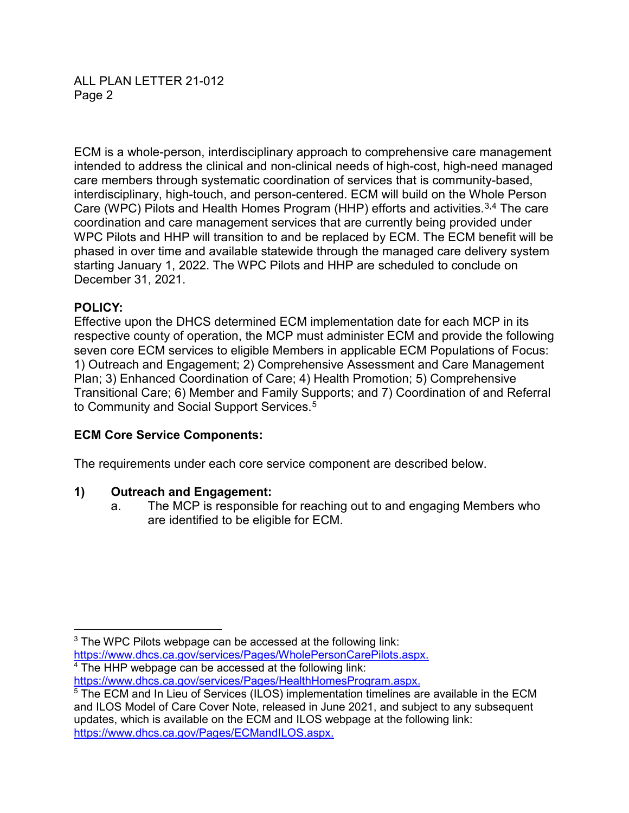ALL PLAN LETTER 21-012 Page 2

ECM is a whole-person, interdisciplinary approach to comprehensive care management intended to address the clinical and non-clinical needs of high-cost, high-need managed care members through systematic coordination of services that is community-based, interdisciplinary, high-touch, and person-centered. ECM will build on the Whole Person Care (WPC) Pilots and Health Homes Program (HHP) efforts and activities.<sup>3,4</sup> The care coordination and care management services that are currently being provided under WPC Pilots and HHP will transition to and be replaced by ECM. The ECM benefit will be phased in over time and available statewide through the managed care delivery system starting January 1, 2022. The WPC Pilots and HHP are scheduled to conclude on December 31, 2021.

### **POLICY:**

Effective upon the DHCS determined ECM implementation date for each MCP in its respective county of operation, the MCP must administer ECM and provide the following seven core ECM services to eligible Members in applicable ECM Populations of Focus: 1) Outreach and Engagement; 2) Comprehensive Assessment and Care Management Plan; 3) Enhanced Coordination of Care; 4) Health Promotion; 5) Comprehensive Transitional Care; 6) Member and Family Supports; and 7) Coordination of and Referral to Community and Social Support Services. 5

### **ECM Core Service Components:**

The requirements under each core service component are described below.

#### **1) Outreach and Engagement:**

a. The MCP is responsible for reaching out to and engaging Members who are identified to be eligible for ECM.

<sup>4</sup> The HHP webpage can be accessed at the following link: [https://www.dhcs.ca.gov/services/Pages/HealthHomesProgram.aspx.](https://www.dhcs.ca.gov/services/Pages/HealthHomesProgram.aspx)

<sup>&</sup>lt;sup>3</sup> The WPC Pilots webpage can be accessed at the following link: [https://www.dhcs.ca.gov/services/Pages/WholePersonCarePilots.aspx.](https://www.dhcs.ca.gov/services/Pages/WholePersonCarePilots.aspx)

<sup>5</sup> The ECM and In Lieu of Services (ILOS) implementation timelines are available in the ECM and ILOS Model of Care Cover Note, released in June 2021, and subject to any subsequent updates, which is available on the ECM and ILOS webpage at the following link: [https://www.dhcs.ca.gov/Pages/ECMandILOS.aspx.](https://www.dhcs.ca.gov/Pages/ECMandILOS.aspx)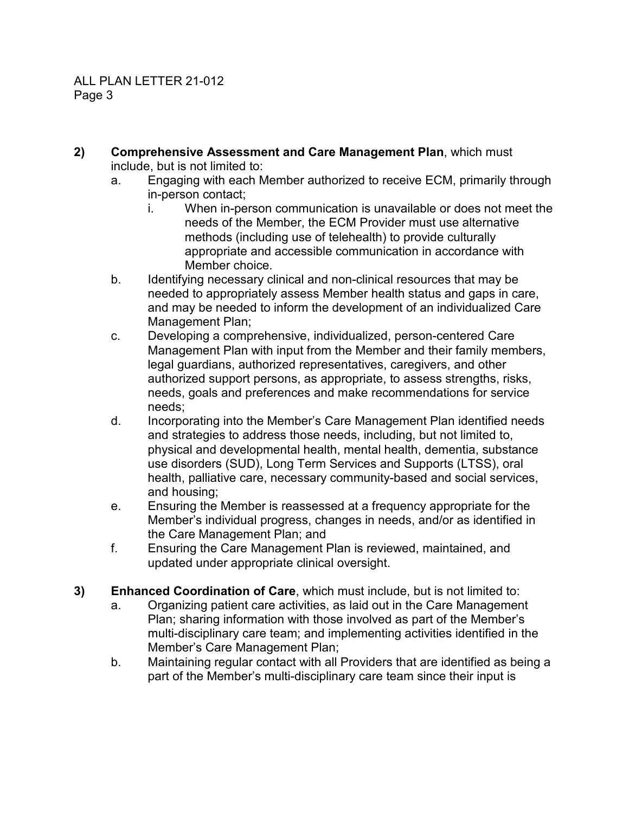- **2) Comprehensive Assessment and Care Management Plan**, which must include, but is not limited to:
	- a. Engaging with each Member authorized to receive ECM, primarily through in-person contact;
		- i. When in-person communication is unavailable or does not meet the needs of the Member, the ECM Provider must use alternative methods (including use of telehealth) to provide culturally appropriate and accessible communication in accordance with Member choice.
	- b. Identifying necessary clinical and non-clinical resources that may be needed to appropriately assess Member health status and gaps in care, and may be needed to inform the development of an individualized Care Management Plan;
	- c. Developing a comprehensive, individualized, person-centered Care Management Plan with input from the Member and their family members, legal guardians, authorized representatives, caregivers, and other authorized support persons, as appropriate, to assess strengths, risks, needs, goals and preferences and make recommendations for service needs;
	- d. Incorporating into the Member's Care Management Plan identified needs and strategies to address those needs, including, but not limited to, physical and developmental health, mental health, dementia, substance use disorders (SUD), Long Term Services and Supports (LTSS), oral health, palliative care, necessary community-based and social services, and housing;
	- e. Ensuring the Member is reassessed at a frequency appropriate for the Member's individual progress, changes in needs, and/or as identified in the Care Management Plan; and
	- f. Ensuring the Care Management Plan is reviewed, maintained, and updated under appropriate clinical oversight.
- **3) Enhanced Coordination of Care**, which must include, but is not limited to:
	- a. Organizing patient care activities, as laid out in the Care Management Plan; sharing information with those involved as part of the Member's multi-disciplinary care team; and implementing activities identified in the Member's Care Management Plan;
	- b. Maintaining regular contact with all Providers that are identified as being a part of the Member's multi-disciplinary care team since their input is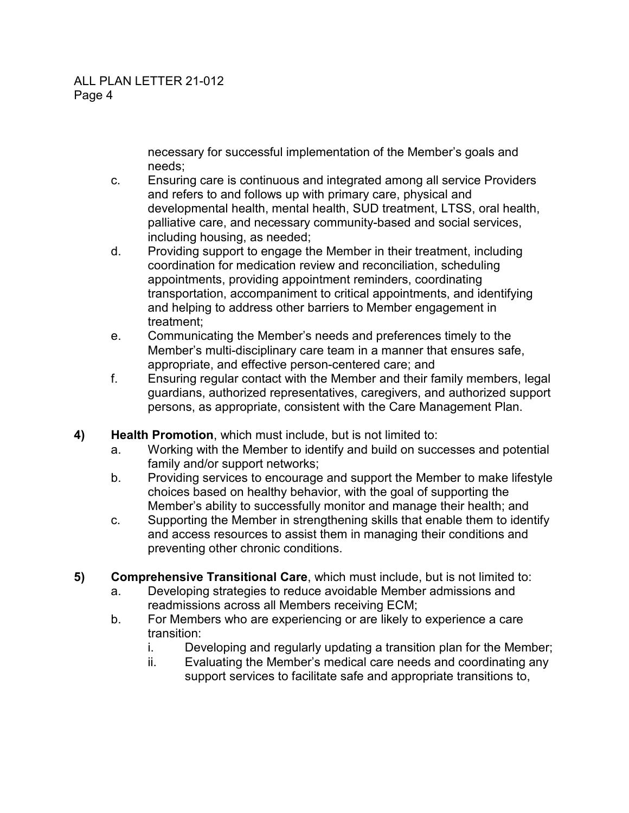necessary for successful implementation of the Member's goals and needs;

- c. Ensuring care is continuous and integrated among all service Providers and refers to and follows up with primary care, physical and developmental health, mental health, SUD treatment, LTSS, oral health, palliative care, and necessary community-based and social services, including housing, as needed;
- d. Providing support to engage the Member in their treatment, including coordination for medication review and reconciliation, scheduling appointments, providing appointment reminders, coordinating transportation, accompaniment to critical appointments, and identifying and helping to address other barriers to Member engagement in treatment;
- e. Communicating the Member's needs and preferences timely to the Member's multi-disciplinary care team in a manner that ensures safe, appropriate, and effective person-centered care; and
- f. Ensuring regular contact with the Member and their family members, legal guardians, authorized representatives, caregivers, and authorized support persons, as appropriate, consistent with the Care Management Plan.
- **4) Health Promotion**, which must include, but is not limited to:
	- a. Working with the Member to identify and build on successes and potential family and/or support networks;
	- b. Providing services to encourage and support the Member to make lifestyle choices based on healthy behavior, with the goal of supporting the Member's ability to successfully monitor and manage their health; and
	- c. Supporting the Member in strengthening skills that enable them to identify and access resources to assist them in managing their conditions and preventing other chronic conditions.
- **5) Comprehensive Transitional Care**, which must include, but is not limited to:
	- a. Developing strategies to reduce avoidable Member admissions and readmissions across all Members receiving ECM;
	- b. For Members who are experiencing or are likely to experience a care transition:
		- i. Developing and regularly updating a transition plan for the Member;
		- ii. Evaluating the Member's medical care needs and coordinating any support services to facilitate safe and appropriate transitions to,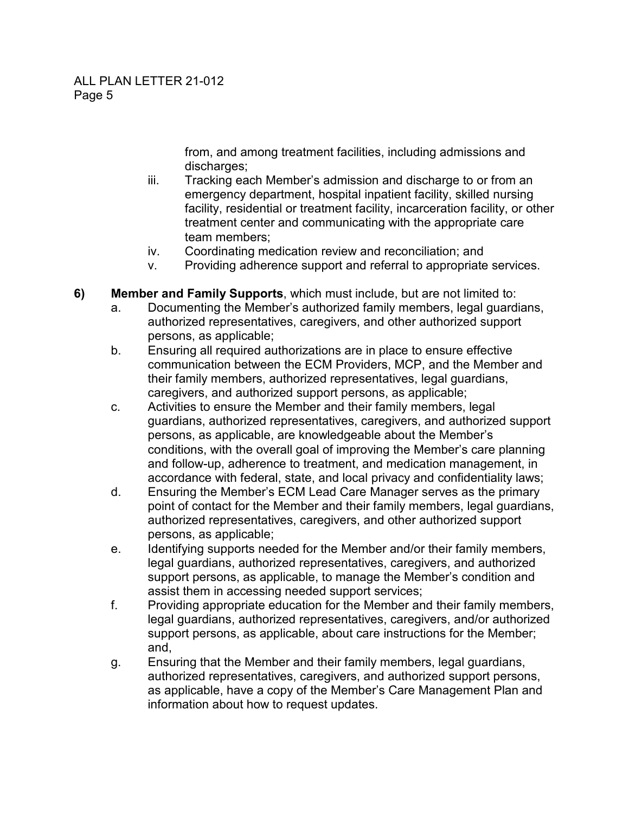from, and among treatment facilities, including admissions and discharges;

- iii. Tracking each Member's admission and discharge to or from an emergency department, hospital inpatient facility, skilled nursing facility, residential or treatment facility, incarceration facility, or other treatment center and communicating with the appropriate care team members;
- iv. Coordinating medication review and reconciliation; and
- v. Providing adherence support and referral to appropriate services.
- **6) Member and Family Supports**, which must include, but are not limited to:
	- a. Documenting the Member's authorized family members, legal guardians, authorized representatives, caregivers, and other authorized support persons, as applicable;
	- b. Ensuring all required authorizations are in place to ensure effective communication between the ECM Providers, MCP, and the Member and their family members, authorized representatives, legal guardians, caregivers, and authorized support persons, as applicable;
	- c. Activities to ensure the Member and their family members, legal guardians, authorized representatives, caregivers, and authorized support persons, as applicable, are knowledgeable about the Member's conditions, with the overall goal of improving the Member's care planning and follow-up, adherence to treatment, and medication management, in accordance with federal, state, and local privacy and confidentiality laws;
	- d. Ensuring the Member's ECM Lead Care Manager serves as the primary point of contact for the Member and their family members, legal guardians, authorized representatives, caregivers, and other authorized support persons, as applicable;
	- e. Identifying supports needed for the Member and/or their family members, legal guardians, authorized representatives, caregivers, and authorized support persons, as applicable, to manage the Member's condition and assist them in accessing needed support services;
	- f. Providing appropriate education for the Member and their family members, legal guardians, authorized representatives, caregivers, and/or authorized support persons, as applicable, about care instructions for the Member; and,
	- g. Ensuring that the Member and their family members, legal guardians, authorized representatives, caregivers, and authorized support persons, as applicable, have a copy of the Member's Care Management Plan and information about how to request updates.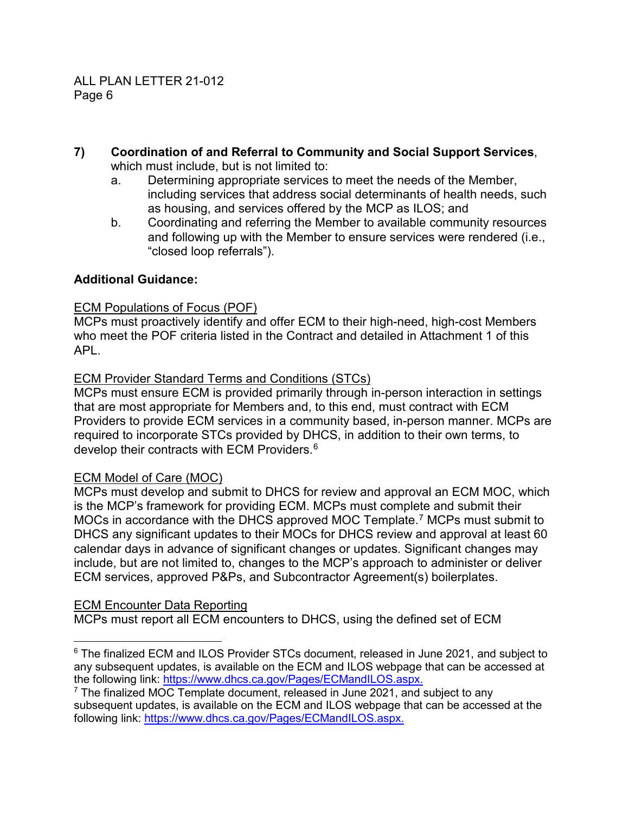- **7) Coordination of and Referral to Community and Social Support Services**, which must include, but is not limited to:
	- a. Determining appropriate services to meet the needs of the Member, including services that address social determinants of health needs, such as housing, and services offered by the MCP as ILOS; and
	- b. Coordinating and referring the Member to available community resources and following up with the Member to ensure services were rendered (i.e., "closed loop referrals").

### **Additional Guidance:**

#### ECM Populations of Focus (POF)

MCPs must proactively identify and offer ECM to their high-need, high-cost Members who meet the POF criteria listed in the Contract and detailed in Attachment 1 of this APL.

#### ECM Provider Standard Terms and Conditions (STCs)

MCPs must ensure ECM is provided primarily through in-person interaction in settings that are most appropriate for Members and, to this end, must contract with ECM Providers to provide ECM services in a community based, in-person manner. MCPs are required to incorporate STCs provided by DHCS, in addition to their own terms, to develop their contracts with ECM Providers.<sup>6</sup>

### ECM Model of Care (MOC)

MCPs must develop and submit to DHCS for review and approval an ECM MOC, which is the MCP's framework for providing ECM. MCPs must complete and submit their MOCs in accordance with the DHCS approved MOC Template. <sup>7</sup> MCPs must submit to DHCS any significant updates to their MOCs for DHCS review and approval at least 60 calendar days in advance of significant changes or updates. Significant changes may include, but are not limited to, changes to the MCP's approach to administer or deliver ECM services, approved P&Ps, and Subcontractor Agreement(s) boilerplates.

### ECM Encounter Data Reporting

MCPs must report all ECM encounters to DHCS, using the defined set of ECM

 <sup>6</sup> The finalized ECM and ILOS Provider STCs document, released in June 2021, and subject to any subsequent updates, is available on the ECM and ILOS webpage that can be accessed at the following link: [https://www.dhcs.ca.gov/Pages/ECMandILOS.aspx.](https://www.dhcs.ca.gov/Pages/ECMandILOS.aspx)

 $7$  The finalized MOC Template document, released in June 2021, and subject to any subsequent updates, is available on the ECM and ILOS webpage that can be accessed at the following link: [https://www.dhcs.ca.gov/Pages/ECMandILOS.aspx.](https://www.dhcs.ca.gov/Pages/ECMandILOS.aspx)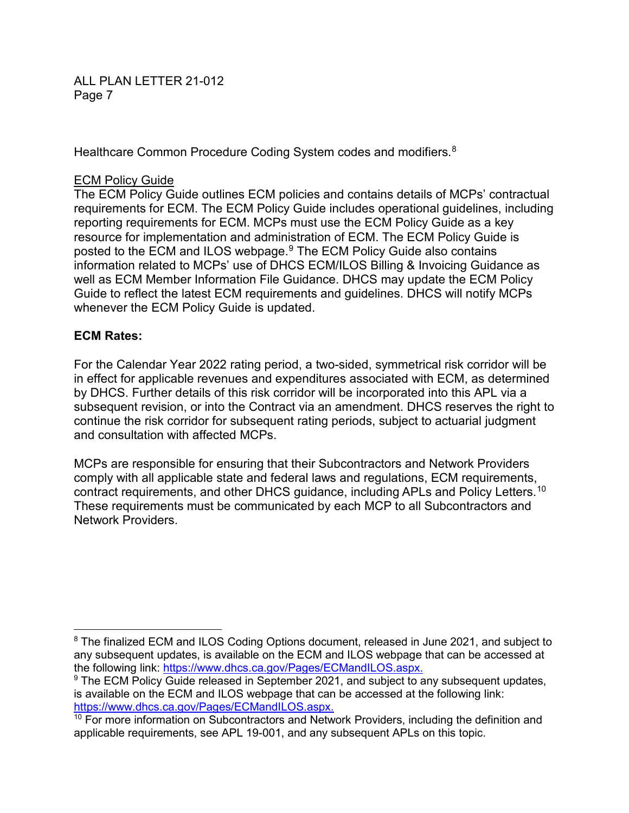ALL PLAN LETTER 21-012 Page 7

Healthcare Common Procedure Coding System codes and modifiers. $^8$ 

#### ECM Policy Guide

The ECM Policy Guide outlines ECM policies and contains details of MCPs' contractual requirements for ECM. The ECM Policy Guide includes operational guidelines, including reporting requirements for ECM. MCPs must use the ECM Policy Guide as a key resource for implementation and administration of ECM. The ECM Policy Guide is posted to the ECM and ILOS webpage. <sup>9</sup> The ECM Policy Guide also contains information related to MCPs' use of DHCS ECM/ILOS Billing & Invoicing Guidance as well as ECM Member Information File Guidance. DHCS may update the ECM Policy Guide to reflect the latest ECM requirements and guidelines. DHCS will notify MCPs whenever the ECM Policy Guide is updated.

#### **ECM Rates:**

For the Calendar Year 2022 rating period, a two-sided, symmetrical risk corridor will be in effect for applicable revenues and expenditures associated with ECM, as determined by DHCS. Further details of this risk corridor will be incorporated into this APL via a subsequent revision, or into the Contract via an amendment. DHCS reserves the right to continue the risk corridor for subsequent rating periods, subject to actuarial judgment and consultation with affected MCPs.

MCPs are responsible for ensuring that their Subcontractors and Network Providers comply with all applicable state and federal laws and regulations, ECM requirements, contract requirements, and other DHCS guidance, including APLs and Policy Letters. $^{\rm 10}$ These requirements must be communicated by each MCP to all Subcontractors and Network Providers.

<sup>8</sup> The finalized ECM and ILOS Coding Options document, released in June 2021, and subject to any subsequent updates, is available on the ECM and ILOS webpage that can be accessed at the following link: [https://www.dhcs.ca.gov/Pages/ECMandILOS.aspx.](https://www.dhcs.ca.gov/Pages/ECMandILOS.aspx)

<sup>&</sup>lt;sup>9</sup> The ECM Policy Guide released in September 2021, and subject to any subsequent updates, is available on the ECM and ILOS webpage that can be accessed at the following link: [https://www.dhcs.ca.gov/Pages/ECMandILOS.aspx.](https://www.dhcs.ca.gov/Pages/ECMandILOS.aspx)

 $10$  For more information on Subcontractors and Network Providers, including the definition and applicable requirements, see APL 19-001, and any subsequent APLs on this topic.